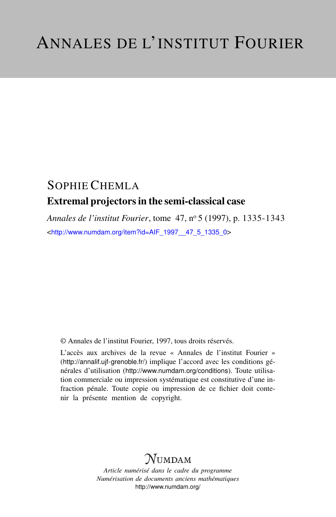## SOPHIE CHEMLA Extremal projectors in the semi-classical case

*Annales de l'institut Fourier*, tome 47, n<sup>o</sup> 5 (1997), p. 1335-1343 <[http://www.numdam.org/item?id=AIF\\_1997\\_\\_47\\_5\\_1335\\_0](http://www.numdam.org/item?id=AIF_1997__47_5_1335_0)>

© Annales de l'institut Fourier, 1997, tous droits réservés.

L'accès aux archives de la revue « Annales de l'institut Fourier » (<http://annalif.ujf-grenoble.fr/>) implique l'accord avec les conditions générales d'utilisation (<http://www.numdam.org/conditions>). Toute utilisation commerciale ou impression systématique est constitutive d'une infraction pénale. Toute copie ou impression de ce fichier doit contenir la présente mention de copyright.

# NUMDAM

*Article numérisé dans le cadre du programme Numérisation de documents anciens mathématiques* <http://www.numdam.org/>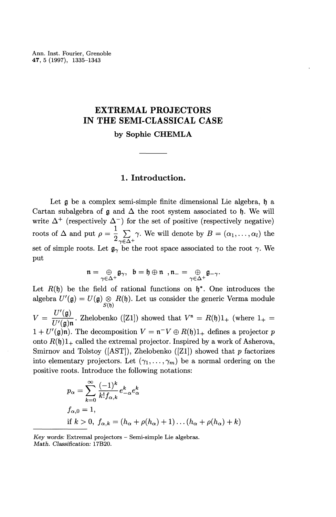Ann. Inst. Fourier, Grenoble **47,** 5 (1997), 1335-1343

## **EXTREMAL PROJECTORS IN THE SEMI-CLASSICAL CASE**

**by Sophie CHEMLA**

### **1. Introduction.**

Let  $\mathfrak g$  be a complex semi-simple finite dimensional Lie algebra,  $\mathfrak h$  a Cartan subalgebra of  $\mathfrak g$  and  $\Delta$  the root system associated to  $\mathfrak h$ . We will write  $\Delta^+$  (respectively  $\Delta^-$ ) for the set of positive (respectively negative) roots of  $\Delta$  and put  $\rho = \frac{1}{2} \sum_{\gamma \in \Delta^+} \gamma$ . We will denote by  $B = (\alpha_1, \dots, \alpha_l)$  the set of simple roots. Let  $g_{\gamma}$  be the root space associated to the root  $\gamma$ . We put

$$
\mathfrak{n}=\underset{\gamma\in\Delta^+}{\oplus}\mathfrak{g}_{\gamma},\;\;\mathfrak{b}=\mathfrak{h}\oplus\mathfrak{n}\;\;,\mathfrak{n}_-=\underset{\gamma\in\Delta^+}{\oplus}\mathfrak{g}_{-\gamma}.
$$

Let  $R(\mathfrak{h})$  be the field of rational functions on  $\mathfrak{h}^*$ . One introduces the algebra  $U'(\mathfrak{g}) = U(\mathfrak{g}) \underset{S(\mathfrak{h})}{\otimes} R(\mathfrak{h})$ . Let us consider the generic Verma module  $V = \frac{U'(\mathfrak{g})}{U'(\mathfrak{g})n}$ . Zhelobenko ([Z1]) showed that  $V^n = R(\mathfrak{h})1_+$  (where  $1_+ =$  $1 + U'(\mathfrak{g})\mathfrak{n}$ ). The decomposition  $V = \mathfrak{n}^-V \oplus R(\mathfrak{h})1_+$  defines a projector p onto  $R(\mathfrak{h})1_+$  called the extremal projector. Inspired by a work of Asherova, Smirnov and Tolstoy ([AST]), Zhelobenko ([Zl]) showed that *p* factorizes into elementary projectors. Let  $(\gamma_1,\ldots,\gamma_m)$  be a normal ordering on the positive roots. Introduce the following notations:

$$
p_{\alpha} = \sum_{k=0}^{\infty} \frac{(-1)^k}{k! f_{\alpha,k}} e_{-\alpha}^k e_{\alpha}^k
$$
  
\n
$$
f_{\alpha,0} = 1,
$$
  
\nif  $k > 0$ ,  $f_{\alpha,k} = (h_{\alpha} + \rho(h_{\alpha}) + 1) \dots (h_{\alpha} + \rho(h_{\alpha}) + k)$ 

*Key words:* Extremal projectors - Semi-simple Lie algebras. *Math. Classification:* 17B20.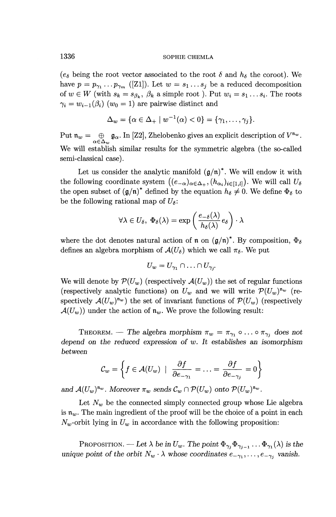( $e_{\delta}$  being the root vector associated to the root  $\delta$  and  $h_{\delta}$  the coroot). We have  $p = p_{\gamma_1} \dots p_{\gamma_m}$  ([Z1]). Let  $w = s_1 \dots s_j$  be a reduced decomposition of  $w \in W$  (with  $s_k = s_{\beta_k}, \beta_k$  a simple root ). Put  $w_i = s_1 \ldots s_i$ . The roots  $\gamma_i = w_{i-1}(\beta_i)$  ( $w_0 = 1$ ) are pairwise distinct and

$$
\Delta_w = \{ \alpha \in \Delta_+ \mid w^{-1}(\alpha) < 0 \} = \{ \gamma_1, \dots, \gamma_j \}.
$$

Put  $\mathfrak{n}_w = \bigoplus_{\alpha \in \Delta_w} \mathfrak{g}_{\alpha}$ . In [Z2], Zhelobenko gives an explicit description of  $V^{\mathfrak{n}_w}$ . We will establish similar results for the symmetric algebra (the so-called semi-classical case).

Let us consider the analytic manifold  $(g/n)^*$ . We will endow it with the following coordinate system  $((e_{-\alpha})_{\alpha \in \Delta_+}, (h_{\alpha_i})_{i \in [1,l]})$ . We will call  $U_{\delta}$ the open subset of  $(\mathfrak{g}/\mathfrak{n})^*$  defined by the equation  $h_\delta \neq 0$ . We define  $\Phi_\delta$  to be the following rational map of  $U_{\delta}$ :

$$
\forall \lambda \in U_{\delta}, \ \Phi_{\delta}(\lambda) = \exp \left( \frac{e_{-\delta}(\lambda)}{h_{\delta}(\lambda)} e_{\delta} \right) \cdot \lambda
$$

where the dot denotes natural action of  $\mathfrak n$  on  $(\mathfrak{g}/\mathfrak{n})^*$ . By composition,  $\Phi_\delta$ defines an algebra morphism of  $\mathcal{A}(U_{\delta})$  which we call  $\pi_{\delta}$ . We put

$$
U_w = U_{\gamma_1} \cap \ldots \cap U_{\gamma_i}
$$

We will denote by  $\mathcal{P}(U_w)$  (respectively  $\mathcal{A}(U_w)$ ) the set of regular functions (respectively analytic functions) on  $U_w$  and we will write  $\mathcal{P}(U_w)^{\mathfrak{n}_w}$  (respectively  $\mathcal{A}(U_w)^{n_w}$ ) the set of invariant functions of  $\mathcal{P}(U_w)$  (respectively  $\mathcal{A}(U_w)$  under the action of  $\mathfrak{n}_w$ . We prove the following result:

THEOREM. — The algebra morphism  $\pi_w = \pi_{\gamma_1} \circ \ldots \circ \pi_{\gamma_i}$  does not *depend on the reduced expression of w. It establishes an isomorphism between*

$$
\mathcal{C}_w = \left\{ f \in \mathcal{A}(U_w) \mid \frac{\partial f}{\partial e_{-\gamma_1}} = \ldots = \frac{\partial f}{\partial e_{-\gamma_j}} = 0 \right\}
$$

and  $\mathcal{A}(U_w)^{\mathfrak{n}_w}$ . Moreover  $\pi_w$  sends  $\mathcal{C}_w \cap \mathcal{P}(U_w)$  onto  $\mathcal{P}(U_w)^{\mathfrak{n}_w}$ .

Let  $N_w$  be the connected simply connected group whose Lie algebra is  $\mathfrak{n}_w$ . The main ingredient of the proof will be the choice of a point in each  $N_w$ -orbit lying in  $U_w$  in accordance with the following proposition:

PROPOSITION. — Let  $\lambda$  be in  $U_w$ . The point  $\Phi_{\gamma_j} \Phi_{\gamma_{j-1}} \dots \Phi_{\gamma_1}(\lambda)$  is the *unique point of the orbit*  $N_w \cdot \lambda$  *whose coordinates*  $e_{-\gamma_1}, \ldots, e_{-\gamma_j}$  *vanish.*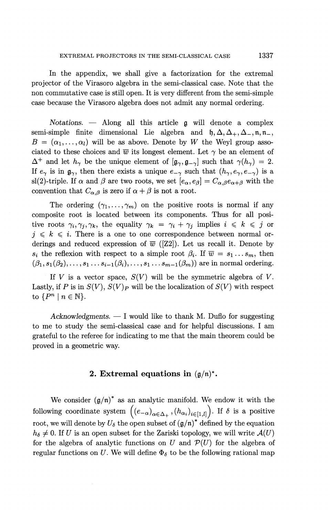In the appendix, we shall give a factorization for the extremal projector of the Virasoro algebra in the semi-classical case. Note that the non commutative case is still open. It is very different from the semi-simple case because the Virasoro algebra does not admit any normal ordering.

*Notations. —* Along all this article *Q* will denote a complex semi-simple finite dimensional Lie algebra and  $\mathfrak{h},\Delta,\Delta_+,\Delta_-,\mathfrak{n},\mathfrak{n}_ B = (\alpha_1, \ldots, \alpha_l)$  will be as above. Denote by *W* the Weyl group associated to these choices and  $\overline{w}$  its longest element. Let  $\gamma$  be an element of  $\Delta^+$  and let  $h_\gamma$  be the unique element of  $[\mathfrak{g}_{\gamma},\mathfrak{g}_{-\gamma}]$  such that  $\gamma(h_\gamma) = 2$ . If  $e_\gamma$  is in  $\mathfrak{g}_\gamma$ , then there exists a unique  $e_{-\gamma}$  such that  $(h_\gamma,e_\gamma,e_{-\gamma})$  is a sl(2)-triple. If  $\alpha$  and  $\beta$  are two roots, we set  $[e_\alpha, e_\beta] = C_{\alpha,\beta}e_{\alpha+\beta}$  with the convention that  $C_{\alpha,\beta}$  is zero if  $\alpha + \beta$  is not a root.

The ordering  $(\gamma_1,\ldots,\gamma_m)$  on the positive roots is normal if any composite root is located between its components. Thus for all positive roots  $\gamma_i, \gamma_j, \gamma_k$ , the equality  $\gamma_k = \gamma_i + \gamma_j$  implies  $i \leq k \leq j$  or  $j \leq k \leq i$ . There is a one to one correspondence between normal orderings and reduced expression of  $\overline{w}$  ([Z2]). Let us recall it. Denote by  $s_i$  the reflexion with respect to a simple root  $\beta_i$ . If  $\overline{w} = s_1 \dots s_m$ , then  $(\beta_1, s_1(\beta_2),\ldots, s_1 \ldots s_{i-1}(\beta_i),\ldots, s_1 \ldots s_{m-1}(\beta_m))$  are in normal ordering.

If *V* is a vector space, *S(V)* will be the symmetric algebra of *V.* Lastly, if P is in  $S(V)$ ,  $S(V)<sub>P</sub>$  will be the localization of  $S(V)$  with respect to  $\{P^n \mid n \in \mathbb{N}\}.$ 

*Acknowledgments. —* I would like to thank M. Duflo for suggesting to me to study the semi-classical case and for helpful discussions. I am grateful to the referee for indicating to me that the main theorem could be proved in a geometric way.

#### **2. Extremal equations in**  $(g/n)^*$ .

We consider  $(g/n)^*$  as an analytic manifold. We endow it with the following coordinate system  $((e_{-\alpha})_{\alpha\in\Delta_{+}}$ ,  $(h_{\alpha_i})_{i\in[1,l]})$ . If  $\delta$  is a positive root, we will denote by  $U_{\delta}$  the open subset of  $(\mathfrak{g}/\mathfrak{n})^*$  defined by the equation  $h_{\delta} \neq 0$ . If *U* is an open subset for the Zariski topology, we will write  $\mathcal{A}(U)$ for the algebra of analytic functions on  $U$  and  $\mathcal{P}(U)$  for the algebra of regular functions on U. We will define  $\Phi_{\delta}$  to be the following rational map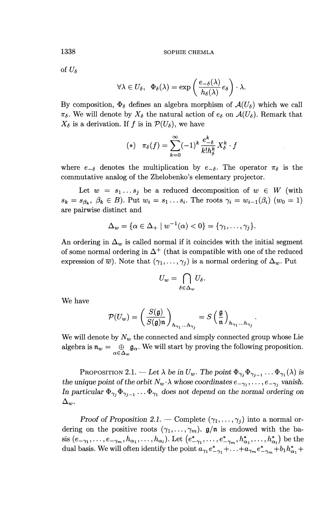**1338** SOPHIE CHEMLA

of  $U_{\delta}$ 

$$
\forall \lambda \in U_{\delta}, \ \ \Phi_{\delta}(\lambda) = \exp \left( \frac{e_{-\delta}(\lambda)}{h_{\delta}(\lambda)} e_{\delta} \right) \cdot \lambda.
$$

By composition,  $\Phi_{\delta}$  defines an algebra morphism of  $\mathcal{A}(U_{\delta})$  which we call  $\pi_{\delta}$ . We will denote by  $X_{\delta}$  the natural action of  $e_{\delta}$  on  $\mathcal{A}(U_{\delta})$ . Remark that  $X_{\delta}$  is a derivation. If f is in  $\mathcal{P}(U_{\delta})$ , we have

$$
(*) \quad \pi_{\delta}(f) = \sum_{k=0}^{\infty} (-1)^k \frac{e_{-\delta}^k}{k! h_{\delta}^k} X_{\delta}^k \cdot f
$$

where  $e_{-\delta}$  denotes the multiplication by  $e_{-\delta}$ . The operator  $\pi_{\delta}$  is the commutative analog of the Zhelobenko's elementary projector.

Let  $w = s_1...s_j$  be a reduced decomposition of  $w \in W$  (with  $s_k = s_{\beta_k}, \beta_k \in B$ ). Put  $w_i = s_1 \dots s_i$ . The roots  $\gamma_i = w_{i-1}(\beta_i)$  ( $w_0 = 1$ ) are pairwise distinct and

$$
\Delta_w = \{ \alpha \in \Delta_+ \mid w^{-1}(\alpha) < 0 \} = \{ \gamma_1, \ldots, \gamma_j \}.
$$

An ordering in  $\Delta_w$  is called normal if it coincides with the initial segment of some normal ordering in  $\Delta^+$  (that is compatible with one of the reduced expression of  $\overline{w}$ ). Note that  $(\gamma_1,\ldots,\gamma_j)$  is a normal ordering of  $\Delta_w$ . Put

$$
U_w = \bigcap_{\delta \in \Delta_w} U_{\delta}.
$$

We have

$$
\mathcal{P}(U_w) = \left(\frac{S(\mathfrak{g})}{S(\mathfrak{g})\mathfrak{n}}\right)_{h_{\gamma_1}...h_{\gamma_j}} = S\left(\frac{\mathfrak{g}}{\mathfrak{n}}\right)_{h_{\gamma_1}...h_{\gamma_j}}
$$

We will denote by  $N_w$  the connected and simply connected group whose Lie algebra is  $\mathfrak{n}_w = \bigoplus_{\alpha \in \Delta_w} \mathfrak{g}_{\alpha}$ . We will start by proving the following proposition.

PROPOSITION 2.1. — Let  $\lambda$  be in  $U_w$ . The point  $\Phi_{\gamma_i} \Phi_{\gamma_{i-1}} \dots \Phi_{\gamma_1} (\lambda)$  is *the unique point of the orbit*  $N_w \cdot \lambda$  whose coordinates  $e_{-\gamma_1}, \ldots, e_{-\gamma_j}$  vanish. In particular  $\Phi_{\gamma_i} \Phi_{\gamma_{i-1}} \dots \Phi_{\gamma_1}$  does not depend on the normal ordering on  $\Delta_w.$ 

*Proof of Proposition 2.1.* — Complete  $(\gamma_1, \ldots, \gamma_j)$  into a normal ordering on the positive roots  $(\gamma_1,\ldots,\gamma_m)$ .  $\mathfrak{g}/\mathfrak{n}$  is endowed with the basis  $(e_{-\gamma_1},...,e_{-\gamma_m},h_{\alpha_1},...,h_{\alpha_l})$ . Let  $(e_{-\gamma_1}^*,...,e_{-\gamma_m}^*,h_{\alpha_1}^*,...,h_{\alpha_l}^*)$  be the dual basis. We will often identify the point  $a_{\gamma_1}e_{-\gamma_1}^* + \ldots + a_{\gamma_m}e_{-\gamma_m}^* + b_1h_{\alpha_1}^* +$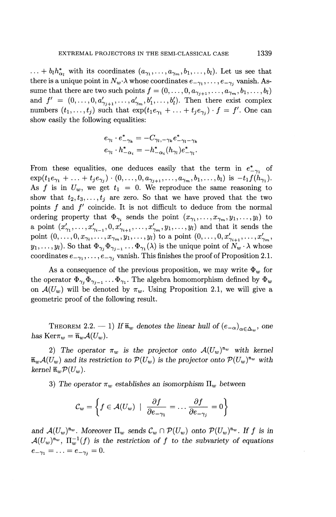$\ldots + b_l h^*_{\alpha_l}$  with its coordinates  $(a_{\gamma_1}, \ldots, a_{\gamma_m}, b_1, \ldots, b_l)$ . Let us see that there is a unique point in  $N_w \cdot \lambda$  whose coordinates  $e_{-\gamma_1}, \ldots, e_{-\gamma_k}$  vanish. Assume that there are two such points  $f = (0, \ldots, 0, a_{\gamma_{i+1}}, \ldots, a_{\gamma_m}, b_1, \ldots, b_l)$ and  $f' = (0, \ldots, 0, a'_{\gamma_{i+1}}, \ldots, a'_{\gamma_m}, b'_1, \ldots, b'_l)$ . Then there exist complex numbers  $(t_1, \ldots, t_i)$  such that  $\exp(t_1e_{\gamma_1} + \ldots + t_ie_{\gamma_i}) \cdot f = f'$ . One can show easily the following equalities:

$$
\begin{split} e_{\gamma_l} \cdot e^*_{-\gamma_k} &= -C_{\gamma_l,-\gamma_k} e^*_{-\gamma_l-\gamma_k} \\ e_{\gamma_l} \cdot h^*_{-\alpha_i} &= -h^*_{-\alpha_i} (h_{\gamma_l}) e^*_{-\gamma_l}. \end{split}
$$

From these equalities, one deduces easily that the term in  $e_{-\gamma_1}^*$  of  $\exp(t_1e_{\gamma_1} + \ldots + t_je_{\gamma_i}) \cdot (0,\ldots,0,a_{\gamma_{i+1}},\ldots,a_{\gamma_m},b_1,\ldots,b_l)$  is  $-t_1f(h_{\gamma_1}).$ As f is in  $U_w$ , we get  $t_1 = 0$ . We reproduce the same reasoning to show that  $t_2, t_3,\ldots,t_j$  are zero. So that we have proved that the two points  $f$  and  $f'$  coincide. It is not difficult to deduce from the normal ordering property that  $\Phi_{\gamma_i}$  sends the point  $(x_{\gamma_1},\ldots,x_{\gamma_m},y_1,\ldots,y_l)$  to a point  $(x'_{\gamma_1},...,x'_{\gamma_{i-1}}, 0, x'_{\gamma_{i+1}},..., x'_{\gamma_m}, y_1,..., y_l)$  and that it sends the point  $(0,\ldots,0,x_{\gamma_i},\ldots,x_{\gamma_m},y_1,\ldots,y_l)$  to a point  $(0,\ldots,0,x'_{\gamma_{i+1}},\ldots,x'_{\gamma_m},y_l)$  $(y_1,\ldots, y_l)$ . So that  $\Phi_{\gamma_i}\Phi_{\gamma_{i-1}}\ldots\Phi_{\gamma_1}(\lambda)$  is the unique point of  $N_w \cdot \lambda$  whose coordinates  $e_{-\gamma_1}, \ldots, e_{-\gamma_j}$  vanish. This finishes the proof of Proposition 2.1.

As a consequence of the previous proposition, we may write  $\Phi_w$  for the operator  $\Phi_{\gamma_i} \Phi_{\gamma_{i-1}} \dots \Phi_{\gamma_1}$ . The algebra homomorphism defined by  $\Phi_w$ on  $\mathcal{A}(U_w)$  will be denoted by  $\pi_w$ . Using Proposition 2.1, we will give a geometric proof of the following result.

THEOREM 2.2.  $-1$ *)* If  $\bar{n}_w$  denotes the linear hull of  $(e_{-\alpha})_{\alpha \in \Delta_m}$ , one *has*  $\text{Ker}\pi_w = \overline{\mathfrak{n}}_w \mathcal{A}(U_w).$ 

2) The operator  $\pi_w$  is the projector onto  $\mathcal{A}(U_w)^{\mathfrak{n}_w}$  with kernel  $\overline{\mathfrak{n}}_w\mathcal{A}(U_w)$  and its restriction to  $\mathcal{P}(U_w)$  is the projector onto  $\mathcal{P}(U_w)^{\mathfrak{n}_w}$  with *kernel*  $\overline{\mathfrak{n}}_w \mathcal{P}(U_w)$ .

3) The operator  $\pi_w$  establishes an isomorphism  $\Pi_w$  between

$$
\mathcal{C}_w = \left\{ f \in \mathcal{A}(U_w) \mid \frac{\partial f}{\partial e_{-\gamma_1}} = \dots \frac{\partial f}{\partial e_{-\gamma_j}} = 0 \right\}
$$

and  $\mathcal{A}(U_w)^{\mathfrak{n}_w}$ . Moreover  $\Pi_w$  sends  $\mathcal{C}_w \cap \mathcal{P}(U_w)$  onto  $\mathcal{P}(U_w)^{\mathfrak{n}_w}$ . If f is in and  $\mathcal{A}(U_w)^{\mathfrak{n}_w}$ . Moreover  $\Pi_w$  sends  $\mathcal{C}_w \cap \mathcal{P}(U_w)$  onto  $\mathcal{P}(U_w)^{\mathfrak{n}_w}$ . If f is in  $\mathcal{A}(U_w)^{\mathfrak{n}_w}$ ,  $\Pi_w^{-1}(f)$  is the restriction of f to the subvariety of equations  $e_{-\gamma_1} = \ldots = e_{-\gamma_j} = 0.$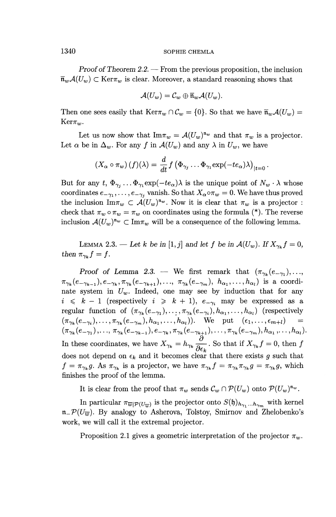#### 1340 SOPHIE CHEMLA

*Proof of Theorem 2.2. —* From the previous proposition, the inclusion  $\overline{n}_w\mathcal{A}(U_w) \subset \text{Ker}\pi_w$  is clear. Moreover, a standard reasoning shows that

$$
\mathcal{A}(U_w) = \mathcal{C}_w \oplus \overline{\mathfrak{n}}_w \mathcal{A}(U_w).
$$

Then one sees easily that  $\text{Ker}\pi_w \cap C_w = \{0\}$ . So that we have  $\overline{\mathfrak{n}}_w\mathcal{A}(U_w) =$  $Ker\pi_w$ .

Let us now show that  $\text{Im}\pi_w = \mathcal{A}(U_w)^{\mathfrak{n}_w}$  and that  $\pi_w$  is a projector. Let  $\alpha$  be in  $\Delta_w$ . For any f in  $\mathcal{A}(U_w)$  and any  $\lambda$  in  $U_w$ , we have

$$
(X_{\alpha}\circ \pi_w) (f)(\lambda) = \frac{d}{dt} f (\Phi_{\gamma_j} \dots \Phi_{\gamma_1} \exp(-te_{\alpha})\lambda)_{|t=0}.
$$

But for any  $t, \Phi_{\gamma_i} \dots \Phi_{\gamma_1} \exp(-te_{\alpha})\lambda$  is the unique point of  $N_w \cdot \lambda$  whose coordinates  $e_{-\gamma_1}, \ldots, e_{-\gamma_j}$  vanish. So that  $X_\alpha \circ \pi_w = 0$ . We have thus proved the inclusion  $\text{Im}\pi_w \subset \mathcal{A}(U_w)^{\mathfrak{n}_w}$ . Now it is clear that  $\pi_w$  is a projector : check that  $\pi_w \circ \pi_w = \pi_w$  on coordinates using the formula (\*). The reverse inclusion  $\mathcal{A}(U_w)^{\mathfrak{n}_w} \subset \mathrm{Im}\pi_w$  will be a consequence of the following lemma.

LEMMA 2.3. — Let k be in [1, j] and let f be in  $\mathcal{A}(U_w)$ . If  $X_{\gamma_k} f = 0$ , then  $\pi_{\gamma_k} f = f$ .

*Proof of Lemma 2.3.* — We first remark that  $(\pi_{\gamma_k}(e_{-\gamma_1}),...$  $\pi_{\gamma_k}(e_{-\gamma_{k-1}}), e_{-\gamma_k}, \pi_{\gamma_k}(e_{-\gamma_{k+1}}),..., \pi_{\gamma_k}(e_{-\gamma_m}), h_{\alpha_1},...,h_{\alpha_l})$  is a coordinate system in  $U_w$ . Indeed, one may see by induction that for any  $i \leq k - 1$  (respectively  $i \geq k + 1$ ),  $e_{-\gamma_i}$  may be expressed as a regular function of  $(\pi_{\gamma_k}(e_{-\gamma_1}),..., \pi_{\gamma_k}(e_{-\gamma_i}), h_{\alpha_1},..., h_{\alpha_l})$  (respectively  $(\pi_{\gamma_k}(e_{-\gamma_i}),\ldots,\pi_{\gamma_k}(e_{-\gamma_m}),h_{\alpha_1},\ldots,h_{\alpha_l}))$ . We put  $(\epsilon_1,\ldots,\epsilon_{m+l})$  =  $(\pi_{\gamma_k}(e_{-\gamma_1}),...,\pi_{\gamma_k}(e_{-\gamma_{k-1}}),e_{-\gamma_k},\pi_{\gamma_k}(e_{-\gamma_{k+1}}),...,\pi_{\gamma_k}(e_{-\gamma_m}),h_{\alpha_1},...,h_{\alpha_l})$ <br>In these coordinates, we have  $X_{\gamma_k} = h_{\gamma_k} \frac{\partial}{\partial \epsilon_k}$ . So that if  $X_{\gamma_k} f = 0$ , then *f* does not depend on  $\epsilon_k$  and it becomes clear that there exists g such that  $f = \pi_{\gamma_k} g$ . As  $\pi_{\gamma_k}$  is a projector, we have  $\pi_{\gamma_k} f = \pi_{\gamma_k} \pi_{\gamma_k} g = \pi_{\gamma_k} g$ , which finishes the proof of the lemma.

It is clear from the proof that  $\pi_w$  sends  $\mathcal{C}_w \cap \mathcal{P}(U_w)$  onto  $\mathcal{P}(U_w)^{\mathfrak{n}_w}$ .

In particular  $\pi_{\overline{w}|\mathcal{P}(U_{\overline{w}})}$  is the projector onto  $S(\mathfrak{h})_{h_{\gamma_1}...h_{\gamma_m}}$  with kernel  $n_P(U_{\overline{w}})$ . By analogy to Asherova, Tolstoy, Smirnov and Zhelobenko's work, we will call it the extremal projector.

Proposition 2.1 gives a geometric interpretation of the projector  $\pi_w$ .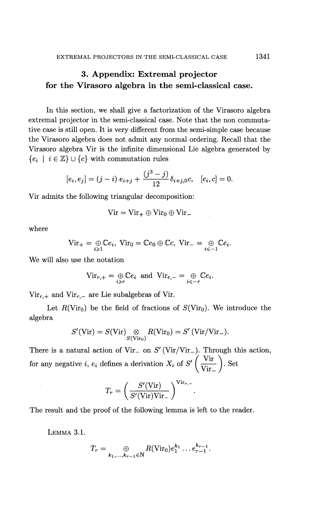## **3. Appendix: Extremal projector for the Virasoro algebra in the semi-classical case.**

In this section, we shall give a factorization of the Virasoro algebra extremal projector in the semi-classical case. Note that the non commutative case is still open. It is very different from the semi-simple case because the Virasoro algebra does not admit any normal ordering. Recall that the Virasoro algebra Vir is the infinite dimensional Lie algebra generated by  ${e_i \mid i \in \mathbb{Z} \} \cup {c}$  with commutation rules

$$
[e_i, e_j] = (j - i) e_{i+j} + \frac{(j^3 - j)}{12} \delta_{i+j,0} c, \quad [e_i, c] = 0.
$$

Vir admits the following triangular decomposition:

$$
Vir = Vir_+ \oplus Vir_0 \oplus Vir_-
$$

where

$$
\text{Vir}_{+}=\underset{i\geq 1}{\oplus}\mathbb{C}e_{i},\ \text{Vir}_{0}=\mathbb{C}e_{0}\oplus\mathbb{C}e_{i},\ \text{Vir}_{-}=\underset{i\leq -1}{\oplus}\mathbb{C}e_{i}.
$$

We will also use the notation

$$
\text{Vir}_{r,+} = \underset{i \geq r}{\oplus} \mathbb{C}e_i \text{ and } \text{Vir}_{r,-} = \underset{i \leq -r}{\oplus} \mathbb{C}e_i.
$$

 $Vir_{r,+}$  and  $Vir_{r,-}$  are Lie subalgebras of Vir.

Let  $R(\text{Vir}_0)$  be the field of fractions of  $S(\text{Vir}_0)$ . We introduce the algebra

$$
S'(\mathrm{Vir})=S(\mathrm{Vir})\underset{S(\mathrm{Vir}_0)}{\otimes}R(\mathrm{Vir}_0)=S'\,(\mathrm{Vir}/\mathrm{Vir}_-).
$$

There is a natural action of Vir<sub>-</sub> on  $S'$  (Vir/Vir<sub>-</sub>). Through this action, for any negative *i*,  $e_i$  defines a derivation  $X_i$  of  $S' \left( \frac{\text{Vir}}{\text{Vir}_{-}} \right)$ . Set

$$
T_r = \left(\frac{S'(\mathrm{Vir})}{S'(\mathrm{Vir})\mathrm{Vir}_-}\right)^{\mathrm{Vir}_{r,-}}
$$

The result and the proof of the following lemma is left to the reader.

LEMMA **3.1.**

$$
T_r = \bigoplus_{k_1,\ldots,k_{r-1} \in \mathbb{N}} R(\text{Vir}_0) e_1^{k_1} \ldots e_{r-1}^{k_{r-1}}.
$$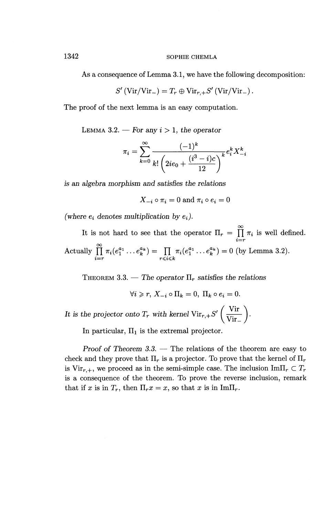As a consequence of Lemma 3.1, we have the following decomposition:

$$
S'(\text{Vir}/\text{Vir}_{-})=T_r\oplus \text{Vir}_{r,+}S'(\text{Vir}/\text{Vir}_{-})\,.
$$

The proof of the next lemma is an easy computation.

LEMMA 3.2. — For any  $i > 1$ , the operator

— For any 
$$
i > 1
$$
, the operator  
\n
$$
\pi_i = \sum_{k=0}^{\infty} \frac{(-1)^k}{k! \left(2ie_0 + \frac{(i^3 - i)c}{12}\right)^k} e_i^k X_{-i}^k
$$

*is an algebra morphism and satisfies the relations*

 $X_{-i} \circ \pi_i = 0$  and  $\pi_i \circ e_i = 0$ 

(where  $e_i$  denotes multiplication by  $e_i$ ).

It is not hard to see that the operator  $\Pi_r = \prod_{i=r}^{\infty} \pi_i$  is well defined. Actually  $\prod_{i=r}^{\infty} \pi_i(e_1^{a_1} \dots e_k^{a_k}) = \prod_{r \leq i \leq k} \pi_i(e_1^{a_1} \dots e_k^{a_k}) = 0$  (by Lemma 3.2).

THEOREM 3.3. — The operator  $\Pi_r$  satisfies the relations

 $\forall i \geq r, X_{-i} \circ \Pi_k = 0, \Pi_k \circ e_i = 0.$ It is the projector onto  $T_r$  with kernel  $\text{Vir}_{r,+}S' \left( \frac{\text{Vir}}{\text{Vir}_{-}} \right)$ .

In particular,  $\Pi_1$  is the extremal projector.

*Proof of Theorem 3.3. —* The relations of the theorem are easy to check and they prove that  $\Pi_r$  is a projector. To prove that the kernel of  $\Pi_r$ is Vir<sub>r, +</sub>, we proceed as in the semi-simple case. The inclusion  $\text{Im}\Pi_r \subset T_r$ is a consequence of the theorem. To prove the reverse inclusion, remark that if x is in  $T_r$ , then  $\Pi_r x = x$ , so that x is in  $\text{Im}\Pi_r$ .